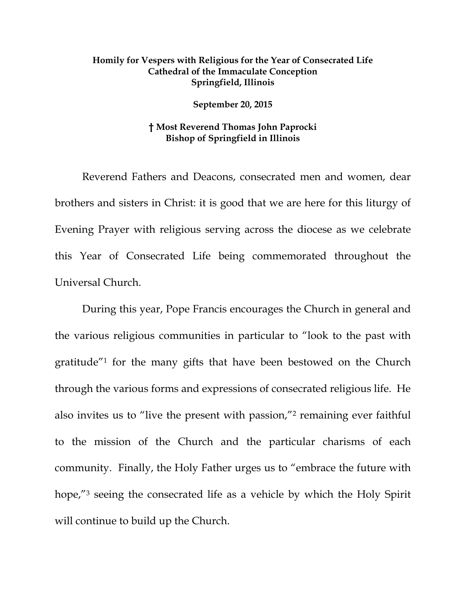## **Homily for Vespers with Religious for the Year of Consecrated Life Cathedral of the Immaculate Conception Springfield, Illinois**

## **September 20, 2015**

## **† Most Reverend Thomas John Paprocki Bishop of Springfield in Illinois**

 Reverend Fathers and Deacons, consecrated men and women, dear brothers and sisters in Christ: it is good that we are here for this liturgy of Evening Prayer with religious serving across the diocese as we celebrate this Year of Consecrated Life being commemorated throughout the Universal Church.

During this year, Pope Francis encourages the Church in general and the various religious communities in particular to "look to the past with gratitude"1 for the many gifts that have been bestowed on the Church through the various forms and expressions of consecrated religious life. He also invites us to "live the present with passion,"2 remaining ever faithful to the mission of the Church and the particular charisms of each community. Finally, the Holy Father urges us to "embrace the future with hope,"<sup>3</sup> seeing the consecrated life as a vehicle by which the Holy Spirit will continue to build up the Church.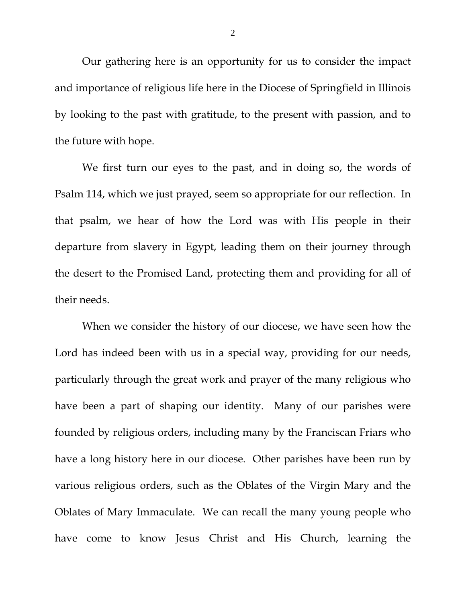Our gathering here is an opportunity for us to consider the impact and importance of religious life here in the Diocese of Springfield in Illinois by looking to the past with gratitude, to the present with passion, and to the future with hope.

We first turn our eyes to the past, and in doing so, the words of Psalm 114, which we just prayed, seem so appropriate for our reflection. In that psalm, we hear of how the Lord was with His people in their departure from slavery in Egypt, leading them on their journey through the desert to the Promised Land, protecting them and providing for all of their needs.

When we consider the history of our diocese, we have seen how the Lord has indeed been with us in a special way, providing for our needs, particularly through the great work and prayer of the many religious who have been a part of shaping our identity. Many of our parishes were founded by religious orders, including many by the Franciscan Friars who have a long history here in our diocese. Other parishes have been run by various religious orders, such as the Oblates of the Virgin Mary and the Oblates of Mary Immaculate. We can recall the many young people who have come to know Jesus Christ and His Church, learning the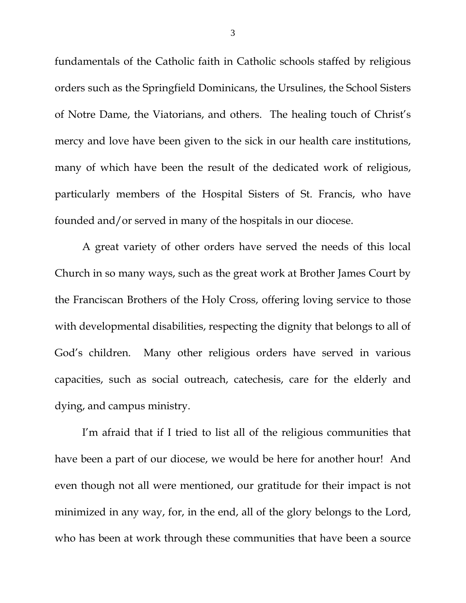fundamentals of the Catholic faith in Catholic schools staffed by religious orders such as the Springfield Dominicans, the Ursulines, the School Sisters of Notre Dame, the Viatorians, and others. The healing touch of Christ's mercy and love have been given to the sick in our health care institutions, many of which have been the result of the dedicated work of religious, particularly members of the Hospital Sisters of St. Francis, who have founded and/or served in many of the hospitals in our diocese.

A great variety of other orders have served the needs of this local Church in so many ways, such as the great work at Brother James Court by the Franciscan Brothers of the Holy Cross, offering loving service to those with developmental disabilities, respecting the dignity that belongs to all of God's children. Many other religious orders have served in various capacities, such as social outreach, catechesis, care for the elderly and dying, and campus ministry.

I'm afraid that if I tried to list all of the religious communities that have been a part of our diocese, we would be here for another hour! And even though not all were mentioned, our gratitude for their impact is not minimized in any way, for, in the end, all of the glory belongs to the Lord, who has been at work through these communities that have been a source

3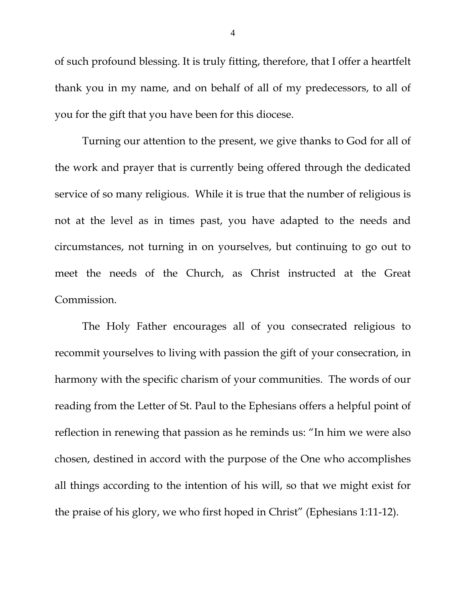of such profound blessing. It is truly fitting, therefore, that I offer a heartfelt thank you in my name, and on behalf of all of my predecessors, to all of you for the gift that you have been for this diocese.

Turning our attention to the present, we give thanks to God for all of the work and prayer that is currently being offered through the dedicated service of so many religious. While it is true that the number of religious is not at the level as in times past, you have adapted to the needs and circumstances, not turning in on yourselves, but continuing to go out to meet the needs of the Church, as Christ instructed at the Great Commission.

The Holy Father encourages all of you consecrated religious to recommit yourselves to living with passion the gift of your consecration, in harmony with the specific charism of your communities. The words of our reading from the Letter of St. Paul to the Ephesians offers a helpful point of reflection in renewing that passion as he reminds us: "In him we were also chosen, destined in accord with the purpose of the One who accomplishes all things according to the intention of his will, so that we might exist for the praise of his glory, we who first hoped in Christ" (Ephesians 1:11-12).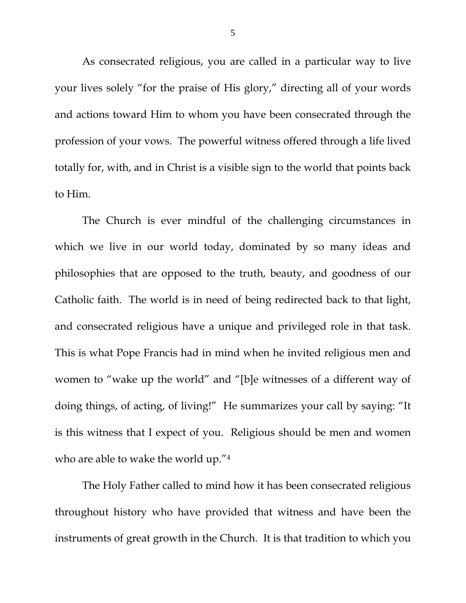As consecrated religious, you are called in a particular way to live your lives solely "for the praise of His glory," directing all of your words and actions toward Him to whom you have been consecrated through the profession of your vows. The powerful witness offered through a life lived totally for, with, and in Christ is a visible sign to the world that points back to Him.

The Church is ever mindful of the challenging circumstances in which we live in our world today, dominated by so many ideas and philosophies that are opposed to the truth, beauty, and goodness of our Catholic faith. The world is in need of being redirected back to that light, and consecrated religious have a unique and privileged role in that task. This is what Pope Francis had in mind when he invited religious men and women to "wake up the world" and "[b]e witnesses of a different way of doing things, of acting, of living!" He summarizes your call by saying: "It is this witness that I expect of you. Religious should be men and women who are able to wake the world up."4

The Holy Father called to mind how it has been consecrated religious throughout history who have provided that witness and have been the instruments of great growth in the Church. It is that tradition to which you

5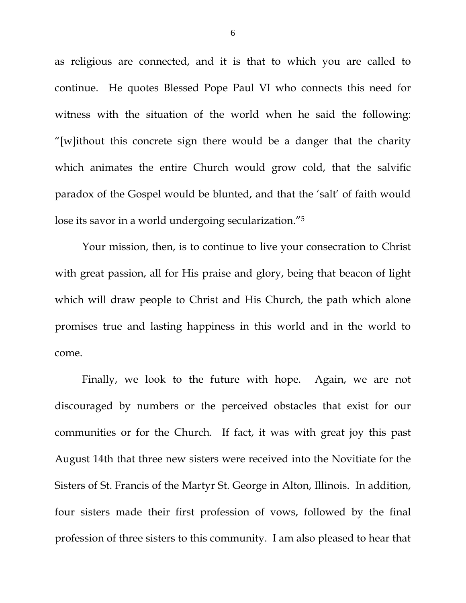as religious are connected, and it is that to which you are called to continue. He quotes Blessed Pope Paul VI who connects this need for witness with the situation of the world when he said the following: "[w]ithout this concrete sign there would be a danger that the charity which animates the entire Church would grow cold, that the salvific paradox of the Gospel would be blunted, and that the 'salt' of faith would lose its savor in a world undergoing secularization."5

Your mission, then, is to continue to live your consecration to Christ with great passion, all for His praise and glory, being that beacon of light which will draw people to Christ and His Church, the path which alone promises true and lasting happiness in this world and in the world to come.

Finally, we look to the future with hope. Again, we are not discouraged by numbers or the perceived obstacles that exist for our communities or for the Church. If fact, it was with great joy this past August 14th that three new sisters were received into the Novitiate for the Sisters of St. Francis of the Martyr St. George in Alton, Illinois. In addition, four sisters made their first profession of vows, followed by the final profession of three sisters to this community. I am also pleased to hear that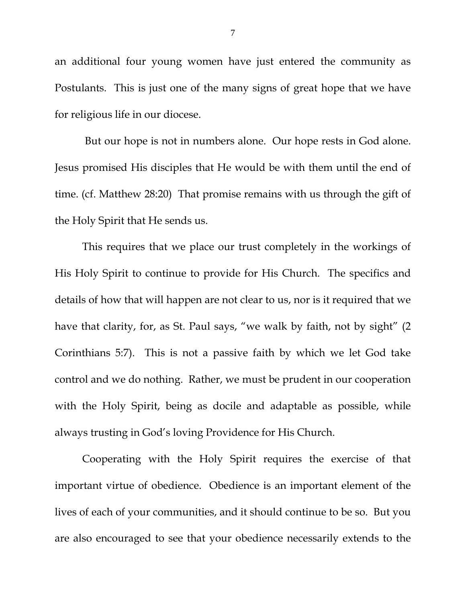an additional four young women have just entered the community as Postulants. This is just one of the many signs of great hope that we have for religious life in our diocese.

 But our hope is not in numbers alone. Our hope rests in God alone. Jesus promised His disciples that He would be with them until the end of time. (cf. Matthew 28:20) That promise remains with us through the gift of the Holy Spirit that He sends us.

This requires that we place our trust completely in the workings of His Holy Spirit to continue to provide for His Church. The specifics and details of how that will happen are not clear to us, nor is it required that we have that clarity, for, as St. Paul says, "we walk by faith, not by sight" (2) Corinthians 5:7). This is not a passive faith by which we let God take control and we do nothing. Rather, we must be prudent in our cooperation with the Holy Spirit, being as docile and adaptable as possible, while always trusting in God's loving Providence for His Church.

Cooperating with the Holy Spirit requires the exercise of that important virtue of obedience. Obedience is an important element of the lives of each of your communities, and it should continue to be so. But you are also encouraged to see that your obedience necessarily extends to the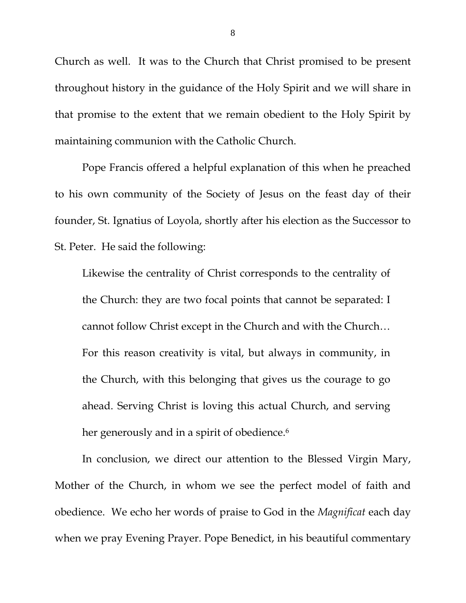Church as well. It was to the Church that Christ promised to be present throughout history in the guidance of the Holy Spirit and we will share in that promise to the extent that we remain obedient to the Holy Spirit by maintaining communion with the Catholic Church.

Pope Francis offered a helpful explanation of this when he preached to his own community of the Society of Jesus on the feast day of their founder, St. Ignatius of Loyola, shortly after his election as the Successor to St. Peter. He said the following:

Likewise the centrality of Christ corresponds to the centrality of the Church: they are two focal points that cannot be separated: I cannot follow Christ except in the Church and with the Church… For this reason creativity is vital, but always in community, in the Church, with this belonging that gives us the courage to go ahead. Serving Christ is loving this actual Church, and serving her generously and in a spirit of obedience.<sup>6</sup>

In conclusion, we direct our attention to the Blessed Virgin Mary, Mother of the Church, in whom we see the perfect model of faith and obedience. We echo her words of praise to God in the *Magnificat* each day when we pray Evening Prayer. Pope Benedict, in his beautiful commentary